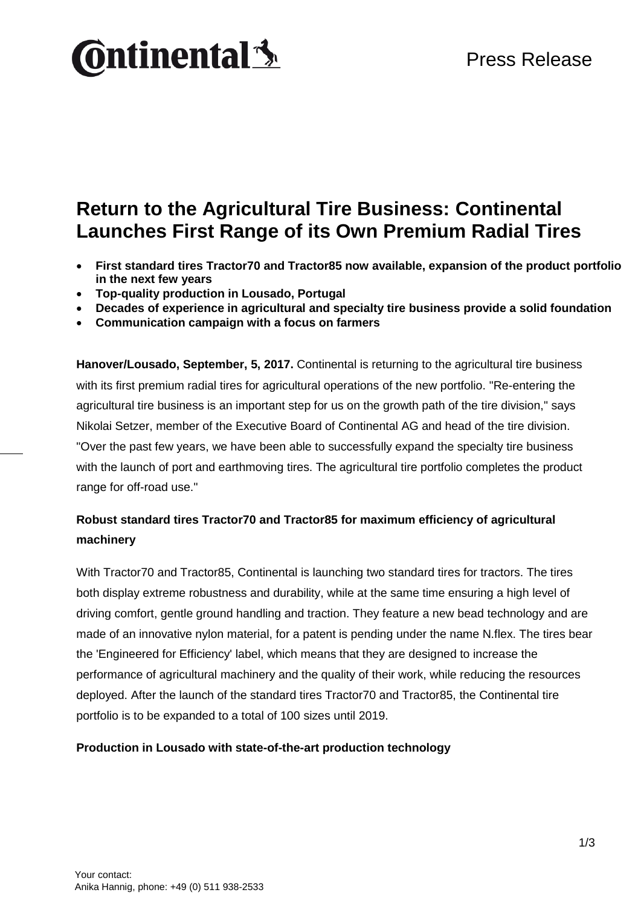### Press Release

# **Ontinental 3**

### **Return to the Agricultural Tire Business: Continental Launches First Range of its Own Premium Radial Tires**

- **First standard tires Tractor70 and Tractor85 now available, expansion of the product portfolio in the next few years**
- **Top-quality production in Lousado, Portugal**
- **Decades of experience in agricultural and specialty tire business provide a solid foundation**
- **Communication campaign with a focus on farmers**

**Hanover/Lousado, September, 5, 2017.** Continental is returning to the agricultural tire business with its first premium radial tires for agricultural operations of the new portfolio. "Re-entering the agricultural tire business is an important step for us on the growth path of the tire division," says Nikolai Setzer, member of the Executive Board of Continental AG and head of the tire division. "Over the past few years, we have been able to successfully expand the specialty tire business with the launch of port and earthmoving tires. The agricultural tire portfolio completes the product range for off-road use."

#### **Robust standard tires Tractor70 and Tractor85 for maximum efficiency of agricultural machinery**

With Tractor70 and Tractor85, Continental is launching two standard tires for tractors. The tires both display extreme robustness and durability, while at the same time ensuring a high level of driving comfort, gentle ground handling and traction. They feature a new bead technology and are made of an innovative nylon material, for a patent is pending under the name N.flex. The tires bear the 'Engineered for Efficiency' label, which means that they are designed to increase the performance of agricultural machinery and the quality of their work, while reducing the resources deployed. After the launch of the standard tires Tractor70 and Tractor85, the Continental tire portfolio is to be expanded to a total of 100 sizes until 2019.

#### **Production in Lousado with state-of-the-art production technology**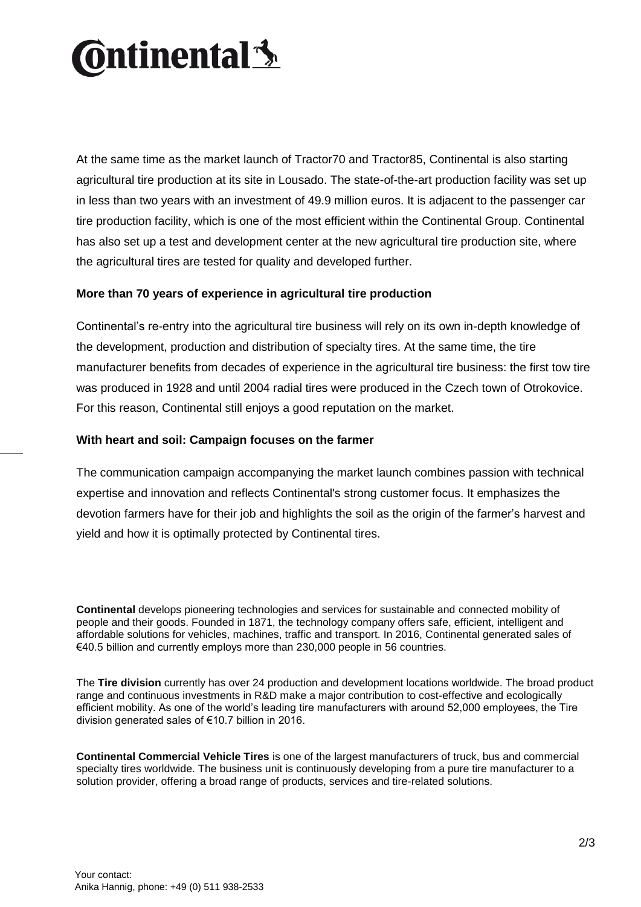# **Ontinental <u>S</u>**

At the same time as the market launch of Tractor70 and Tractor85, Continental is also starting agricultural tire production at its site in Lousado. The state-of-the-art production facility was set up in less than two years with an investment of 49.9 million euros. It is adjacent to the passenger car tire production facility, which is one of the most efficient within the Continental Group. Continental has also set up a test and development center at the new agricultural tire production site, where the agricultural tires are tested for quality and developed further.

#### **More than 70 years of experience in agricultural tire production**

Continental's re-entry into the agricultural tire business will rely on its own in-depth knowledge of the development, production and distribution of specialty tires. At the same time, the tire manufacturer benefits from decades of experience in the agricultural tire business: the first tow tire was produced in 1928 and until 2004 radial tires were produced in the Czech town of Otrokovice. For this reason, Continental still enjoys a good reputation on the market.

#### **With heart and soil: Campaign focuses on the farmer**

The communication campaign accompanying the market launch combines passion with technical expertise and innovation and reflects Continental's strong customer focus. It emphasizes the devotion farmers have for their job and highlights the soil as the origin of the farmer's harvest and yield and how it is optimally protected by Continental tires.

**Continental** develops pioneering technologies and services for sustainable and connected mobility of people and their goods. Founded in 1871, the technology company offers safe, efficient, intelligent and affordable solutions for vehicles, machines, traffic and transport. In 2016, Continental generated sales of €40.5 billion and currently employs more than 230,000 people in 56 countries.

The **Tire division** currently has over 24 production and development locations worldwide. The broad product range and continuous investments in R&D make a major contribution to cost-effective and ecologically efficient mobility. As one of the world's leading tire manufacturers with around 52,000 employees, the Tire division generated sales of €10.7 billion in 2016.

**Continental Commercial Vehicle Tires** is one of the largest manufacturers of truck, bus and commercial specialty tires worldwide. The business unit is continuously developing from a pure tire manufacturer to a solution provider, offering a broad range of products, services and tire-related solutions.